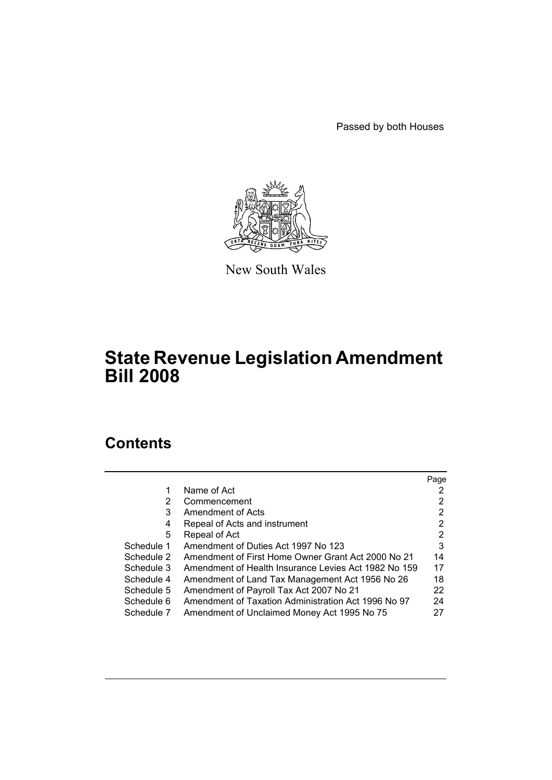Passed by both Houses



New South Wales

# **State Revenue Legislation Amendment Bill 2008**

# **Contents**

|                                                      | Page |
|------------------------------------------------------|------|
| Name of Act                                          |      |
| Commencement                                         | 2    |
| Amendment of Acts                                    | 2    |
| Repeal of Acts and instrument                        | 2    |
| Repeal of Act                                        | 2    |
| Amendment of Duties Act 1997 No 123                  | 3    |
| Amendment of First Home Owner Grant Act 2000 No 21   | 14   |
| Amendment of Health Insurance Levies Act 1982 No 159 | 17   |
| Amendment of Land Tax Management Act 1956 No 26      | 18   |
| Amendment of Payroll Tax Act 2007 No 21              | 22   |
| Amendment of Taxation Administration Act 1996 No 97  | 24   |
| Amendment of Unclaimed Money Act 1995 No 75          | 27   |
|                                                      |      |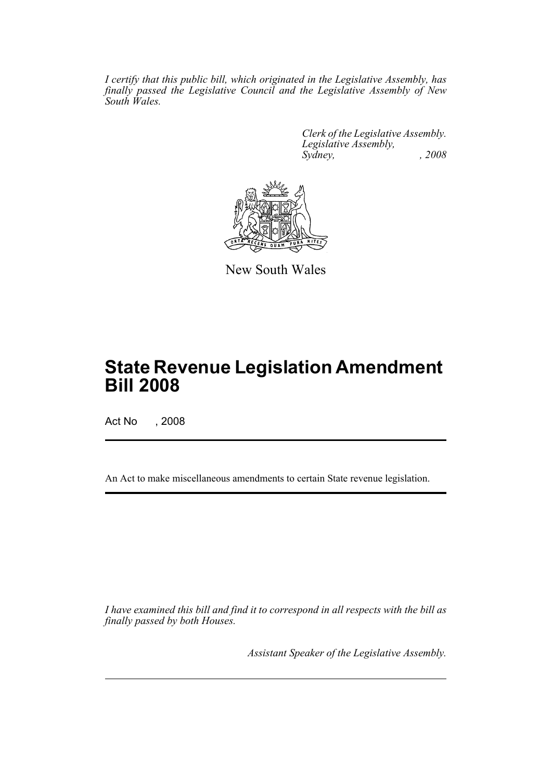*I certify that this public bill, which originated in the Legislative Assembly, has finally passed the Legislative Council and the Legislative Assembly of New South Wales.*

> *Clerk of the Legislative Assembly. Legislative Assembly, Sydney, , 2008*



New South Wales

# **State Revenue Legislation Amendment Bill 2008**

Act No , 2008

An Act to make miscellaneous amendments to certain State revenue legislation.

*I have examined this bill and find it to correspond in all respects with the bill as finally passed by both Houses.*

*Assistant Speaker of the Legislative Assembly.*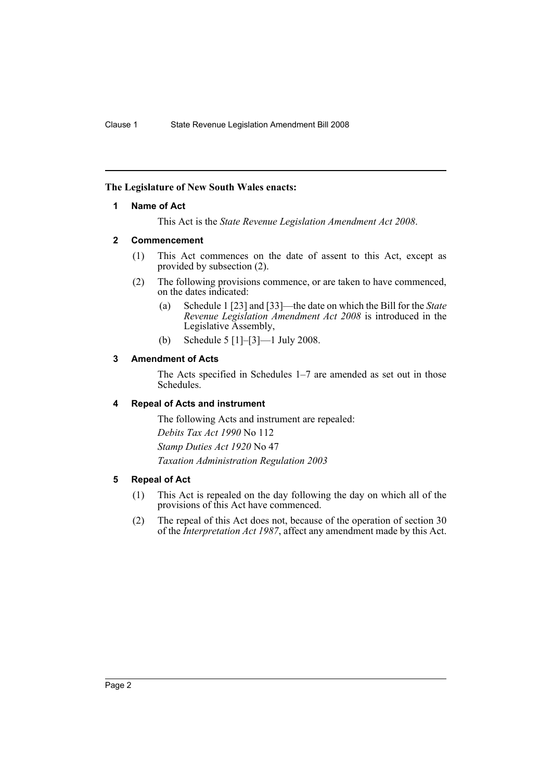## <span id="page-2-0"></span>**The Legislature of New South Wales enacts:**

#### **1 Name of Act**

This Act is the *State Revenue Legislation Amendment Act 2008*.

## <span id="page-2-1"></span>**2 Commencement**

- (1) This Act commences on the date of assent to this Act, except as provided by subsection (2).
- (2) The following provisions commence, or are taken to have commenced, on the dates indicated:
	- (a) Schedule 1 [23] and [33]—the date on which the Bill for the *State Revenue Legislation Amendment Act 2008* is introduced in the Legislative Assembly,
	- (b) Schedule 5 [1]–[3]—1 July 2008.

## <span id="page-2-2"></span>**3 Amendment of Acts**

The Acts specified in Schedules 1–7 are amended as set out in those Schedules.

## <span id="page-2-3"></span>**4 Repeal of Acts and instrument**

The following Acts and instrument are repealed: *Debits Tax Act 1990* No 112 *Stamp Duties Act 1920* No 47 *Taxation Administration Regulation 2003*

#### <span id="page-2-4"></span>**5 Repeal of Act**

- (1) This Act is repealed on the day following the day on which all of the provisions of this Act have commenced.
- (2) The repeal of this Act does not, because of the operation of section 30 of the *Interpretation Act 1987*, affect any amendment made by this Act.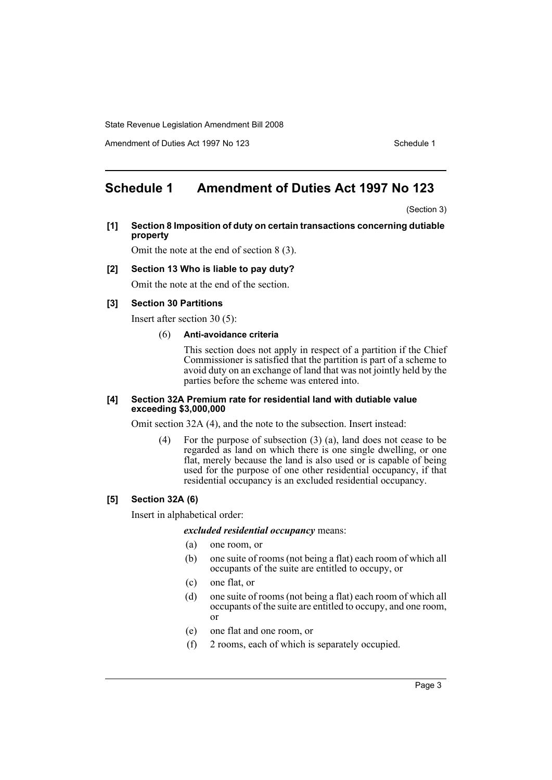Amendment of Duties Act 1997 No 123 Schedule 1

## <span id="page-3-0"></span>**Schedule 1 Amendment of Duties Act 1997 No 123**

(Section 3)

**[1] Section 8 Imposition of duty on certain transactions concerning dutiable property**

Omit the note at the end of section 8 (3).

### **[2] Section 13 Who is liable to pay duty?**

Omit the note at the end of the section.

#### **[3] Section 30 Partitions**

Insert after section 30 (5):

#### (6) **Anti-avoidance criteria**

This section does not apply in respect of a partition if the Chief Commissioner is satisfied that the partition is part of a scheme to avoid duty on an exchange of land that was not jointly held by the parties before the scheme was entered into.

#### **[4] Section 32A Premium rate for residential land with dutiable value exceeding \$3,000,000**

Omit section 32A (4), and the note to the subsection. Insert instead:

(4) For the purpose of subsection (3) (a), land does not cease to be regarded as land on which there is one single dwelling, or one flat, merely because the land is also used or is capable of being used for the purpose of one other residential occupancy, if that residential occupancy is an excluded residential occupancy.

#### **[5] Section 32A (6)**

Insert in alphabetical order:

#### *excluded residential occupancy* means:

- (a) one room, or
- (b) one suite of rooms (not being a flat) each room of which all occupants of the suite are entitled to occupy, or
- (c) one flat, or
- (d) one suite of rooms (not being a flat) each room of which all occupants of the suite are entitled to occupy, and one room, or
- (e) one flat and one room, or
- (f) 2 rooms, each of which is separately occupied.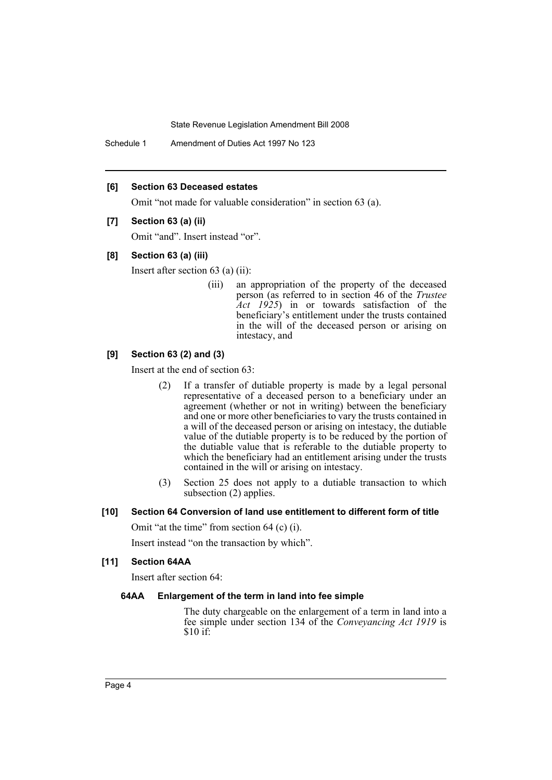Schedule 1 Amendment of Duties Act 1997 No 123

#### **[6] Section 63 Deceased estates**

Omit "not made for valuable consideration" in section 63 (a).

#### **[7] Section 63 (a) (ii)**

Omit "and". Insert instead "or".

#### **[8] Section 63 (a) (iii)**

Insert after section 63 (a) (ii):

(iii) an appropriation of the property of the deceased person (as referred to in section 46 of the *Trustee Act 1925*) in or towards satisfaction of the beneficiary's entitlement under the trusts contained in the will of the deceased person or arising on intestacy, and

#### **[9] Section 63 (2) and (3)**

Insert at the end of section 63:

- (2) If a transfer of dutiable property is made by a legal personal representative of a deceased person to a beneficiary under an agreement (whether or not in writing) between the beneficiary and one or more other beneficiaries to vary the trusts contained in a will of the deceased person or arising on intestacy, the dutiable value of the dutiable property is to be reduced by the portion of the dutiable value that is referable to the dutiable property to which the beneficiary had an entitlement arising under the trusts contained in the will or arising on intestacy.
- (3) Section 25 does not apply to a dutiable transaction to which subsection (2) applies.

#### **[10] Section 64 Conversion of land use entitlement to different form of title**

Omit "at the time" from section 64 (c) (i).

Insert instead "on the transaction by which".

### **[11] Section 64AA**

Insert after section 64:

#### **64AA Enlargement of the term in land into fee simple**

The duty chargeable on the enlargement of a term in land into a fee simple under section 134 of the *Conveyancing Act 1919* is \$10 if: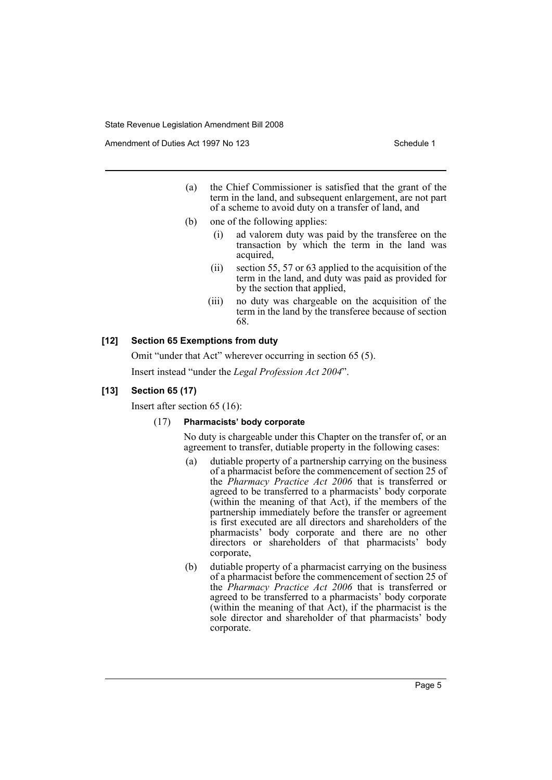Amendment of Duties Act 1997 No 123 Schedule 1

- (a) the Chief Commissioner is satisfied that the grant of the term in the land, and subsequent enlargement, are not part of a scheme to avoid duty on a transfer of land, and
- (b) one of the following applies:
	- (i) ad valorem duty was paid by the transferee on the transaction by which the term in the land was acquired,
	- (ii) section 55, 57 or 63 applied to the acquisition of the term in the land, and duty was paid as provided for by the section that applied,
	- (iii) no duty was chargeable on the acquisition of the term in the land by the transferee because of section 68.

## **[12] Section 65 Exemptions from duty**

Omit "under that Act" wherever occurring in section 65 (5). Insert instead "under the *Legal Profession Act 2004*".

#### **[13] Section 65 (17)**

Insert after section 65 (16):

#### (17) **Pharmacists' body corporate**

No duty is chargeable under this Chapter on the transfer of, or an agreement to transfer, dutiable property in the following cases:

- (a) dutiable property of a partnership carrying on the business of a pharmacist before the commencement of section 25 of the *Pharmacy Practice Act 2006* that is transferred or agreed to be transferred to a pharmacists' body corporate (within the meaning of that Act), if the members of the partnership immediately before the transfer or agreement is first executed are all directors and shareholders of the pharmacists' body corporate and there are no other directors or shareholders of that pharmacists' body corporate,
- (b) dutiable property of a pharmacist carrying on the business of a pharmacist before the commencement of section 25 of the *Pharmacy Practice Act 2006* that is transferred or agreed to be transferred to a pharmacists' body corporate (within the meaning of that Act), if the pharmacist is the sole director and shareholder of that pharmacists' body corporate.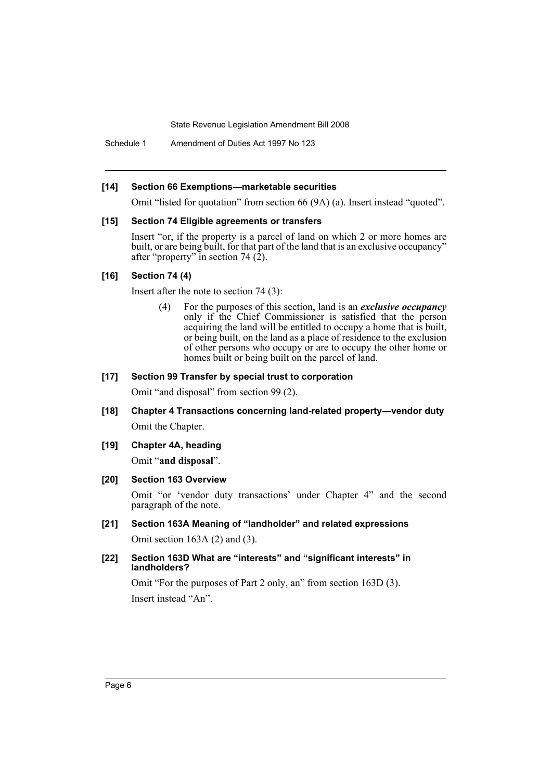Schedule 1 Amendment of Duties Act 1997 No 123

#### **[14] Section 66 Exemptions—marketable securities**

Omit "listed for quotation" from section 66 (9A) (a). Insert instead "quoted".

#### **[15] Section 74 Eligible agreements or transfers**

Insert "or, if the property is a parcel of land on which 2 or more homes are built, or are being built, for that part of the land that is an exclusive occupancy" after "property" in section 74 $(2)$ .

#### **[16] Section 74 (4)**

Insert after the note to section 74 (3):

(4) For the purposes of this section, land is an *exclusive occupancy* only if the Chief Commissioner is satisfied that the person acquiring the land will be entitled to occupy a home that is built, or being built, on the land as a place of residence to the exclusion of other persons who occupy or are to occupy the other home or homes built or being built on the parcel of land.

### **[17] Section 99 Transfer by special trust to corporation**

Omit "and disposal" from section 99 (2).

- **[18] Chapter 4 Transactions concerning land-related property—vendor duty** Omit the Chapter.
- **[19] Chapter 4A, heading**

Omit "**and disposal**".

#### **[20] Section 163 Overview**

Omit "or 'vendor duty transactions' under Chapter 4" and the second paragraph of the note.

- **[21] Section 163A Meaning of "landholder" and related expressions** Omit section 163A (2) and (3).
- **[22] Section 163D What are "interests" and "significant interests" in landholders?**

Omit "For the purposes of Part 2 only, an" from section 163D (3). Insert instead "An".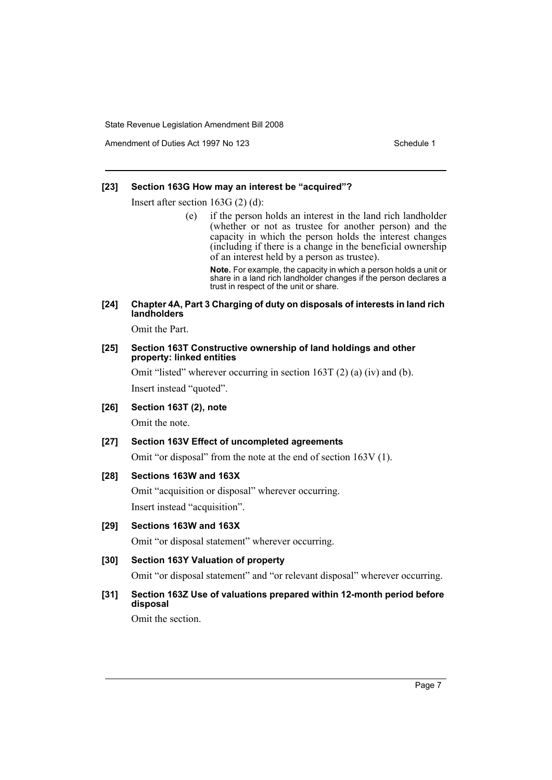Amendment of Duties Act 1997 No 123 Schedule 1

### **[23] Section 163G How may an interest be "acquired"?**

Insert after section 163G (2) (d):

(e) if the person holds an interest in the land rich landholder (whether or not as trustee for another person) and the capacity in which the person holds the interest changes (including if there is a change in the beneficial ownership of an interest held by a person as trustee).

**Note.** For example, the capacity in which a person holds a unit or share in a land rich landholder changes if the person declares a trust in respect of the unit or share.

#### **[24] Chapter 4A, Part 3 Charging of duty on disposals of interests in land rich landholders**

Omit the Part.

#### **[25] Section 163T Constructive ownership of land holdings and other property: linked entities**

Omit "listed" wherever occurring in section 163T (2) (a) (iv) and (b). Insert instead "quoted".

**[26] Section 163T (2), note**

Omit the note.

#### **[27] Section 163V Effect of uncompleted agreements**

Omit "or disposal" from the note at the end of section 163V (1).

#### **[28] Sections 163W and 163X**

Omit "acquisition or disposal" wherever occurring. Insert instead "acquisition".

## **[29] Sections 163W and 163X**

Omit "or disposal statement" wherever occurring.

#### **[30] Section 163Y Valuation of property**

Omit "or disposal statement" and "or relevant disposal" wherever occurring.

## **[31] Section 163Z Use of valuations prepared within 12-month period before disposal**

Omit the section.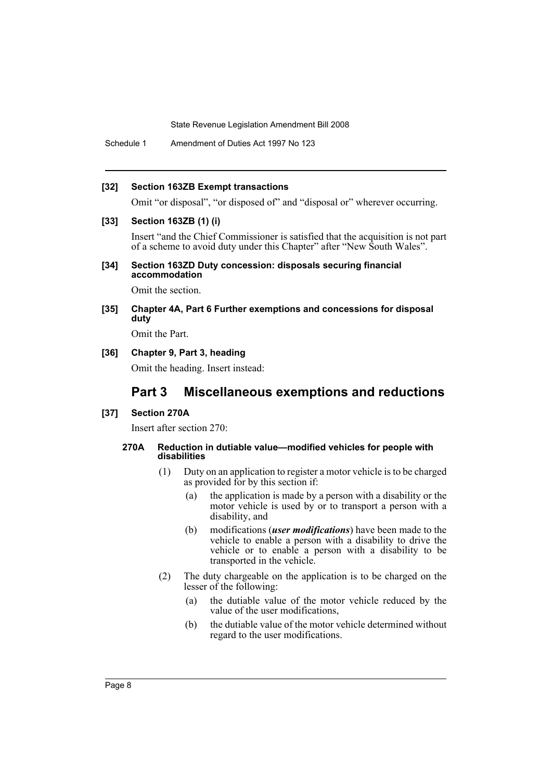Schedule 1 Amendment of Duties Act 1997 No 123

#### **[32] Section 163ZB Exempt transactions**

Omit "or disposal", "or disposed of" and "disposal or" wherever occurring.

#### **[33] Section 163ZB (1) (i)**

Insert "and the Chief Commissioner is satisfied that the acquisition is not part of a scheme to avoid duty under this Chapter" after "New South Wales".

#### **[34] Section 163ZD Duty concession: disposals securing financial accommodation**

Omit the section.

## **[35] Chapter 4A, Part 6 Further exemptions and concessions for disposal duty**

Omit the Part.

## **[36] Chapter 9, Part 3, heading**

Omit the heading. Insert instead:

## **Part 3 Miscellaneous exemptions and reductions**

#### **[37] Section 270A**

Insert after section 270:

#### **270A Reduction in dutiable value—modified vehicles for people with disabilities**

- (1) Duty on an application to register a motor vehicle is to be charged as provided for by this section if:
	- (a) the application is made by a person with a disability or the motor vehicle is used by or to transport a person with a disability, and
	- (b) modifications (*user modifications*) have been made to the vehicle to enable a person with a disability to drive the vehicle or to enable a person with a disability to be transported in the vehicle.
- (2) The duty chargeable on the application is to be charged on the lesser of the following:
	- (a) the dutiable value of the motor vehicle reduced by the value of the user modifications,
	- (b) the dutiable value of the motor vehicle determined without regard to the user modifications.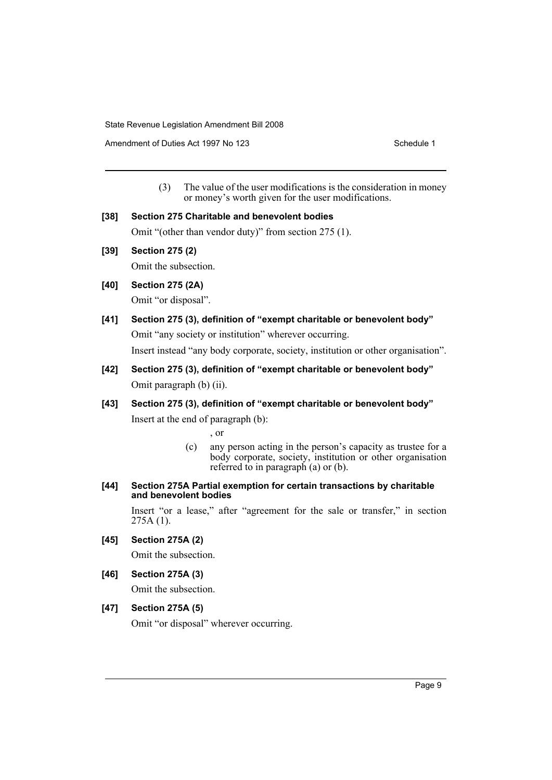Amendment of Duties Act 1997 No 123 Schedule 1

(3) The value of the user modifications is the consideration in money or money's worth given for the user modifications.

#### **[38] Section 275 Charitable and benevolent bodies**

Omit "(other than vendor duty)" from section 275 (1).

**[39] Section 275 (2)**

Omit the subsection.

**[40] Section 275 (2A)**

Omit "or disposal".

- **[41] Section 275 (3), definition of "exempt charitable or benevolent body"** Omit "any society or institution" wherever occurring. Insert instead "any body corporate, society, institution or other organisation".
- **[42] Section 275 (3), definition of "exempt charitable or benevolent body"** Omit paragraph (b) (ii).
- **[43] Section 275 (3), definition of "exempt charitable or benevolent body"** Insert at the end of paragraph (b):

, or

- (c) any person acting in the person's capacity as trustee for a body corporate, society, institution or other organisation referred to in paragraph (a) or (b).
- **[44] Section 275A Partial exemption for certain transactions by charitable and benevolent bodies**

Insert "or a lease," after "agreement for the sale or transfer," in section 275A (1).

**[45] Section 275A (2)**

Omit the subsection.

**[46] Section 275A (3)**

Omit the subsection.

## **[47] Section 275A (5)**

Omit "or disposal" wherever occurring.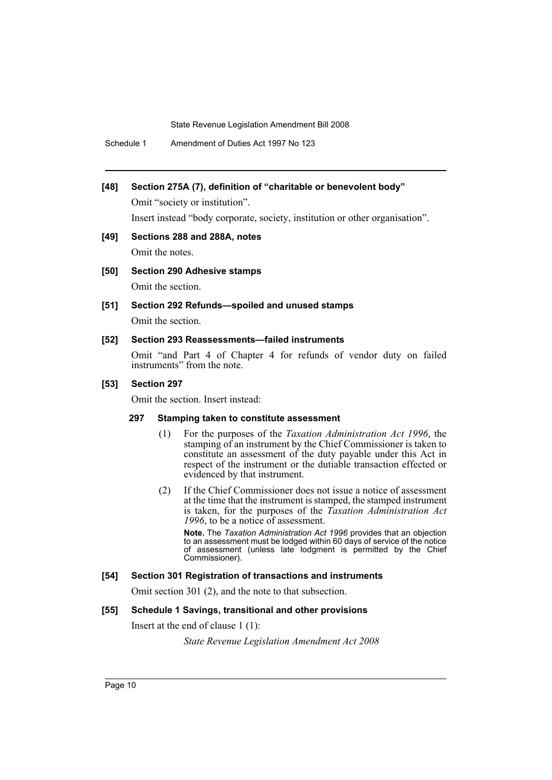Schedule 1 Amendment of Duties Act 1997 No 123

## **[48] Section 275A (7), definition of "charitable or benevolent body"**

Omit "society or institution".

Insert instead "body corporate, society, institution or other organisation".

- **[49] Sections 288 and 288A, notes** Omit the notes.
- **[50] Section 290 Adhesive stamps**

Omit the section.

#### **[51] Section 292 Refunds—spoiled and unused stamps**

Omit the section.

## **[52] Section 293 Reassessments—failed instruments**

Omit "and Part 4 of Chapter 4 for refunds of vendor duty on failed instruments" from the note.

#### **[53] Section 297**

Omit the section. Insert instead:

#### **297 Stamping taken to constitute assessment**

- (1) For the purposes of the *Taxation Administration Act 1996*, the stamping of an instrument by the Chief Commissioner is taken to constitute an assessment of the duty payable under this Act in respect of the instrument or the dutiable transaction effected or evidenced by that instrument.
- (2) If the Chief Commissioner does not issue a notice of assessment at the time that the instrument is stamped, the stamped instrument is taken, for the purposes of the *Taxation Administration Act 1996*, to be a notice of assessment.

**Note.** The *Taxation Administration Act 1996* provides that an objection to an assessment must be lodged within 60 days of service of the notice of assessment (unless late lodgment is permitted by the Chief Commissioner).

#### **[54] Section 301 Registration of transactions and instruments**

Omit section 301 (2), and the note to that subsection.

#### **[55] Schedule 1 Savings, transitional and other provisions**

Insert at the end of clause 1 (1):

*State Revenue Legislation Amendment Act 2008*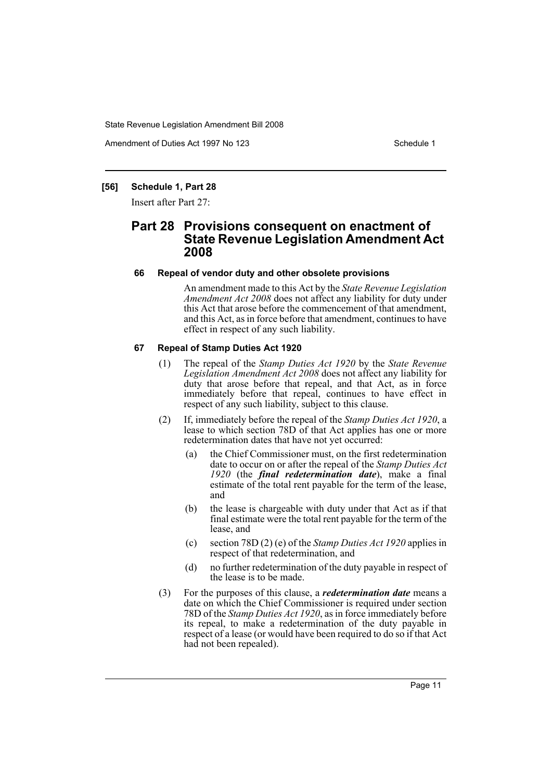Amendment of Duties Act 1997 No 123 Schedule 1

#### **[56] Schedule 1, Part 28**

Insert after Part 27:

## **Part 28 Provisions consequent on enactment of State Revenue Legislation Amendment Act 2008**

#### **66 Repeal of vendor duty and other obsolete provisions**

An amendment made to this Act by the *State Revenue Legislation Amendment Act 2008* does not affect any liability for duty under this Act that arose before the commencement of that amendment, and this Act, as in force before that amendment, continues to have effect in respect of any such liability.

#### **67 Repeal of Stamp Duties Act 1920**

- (1) The repeal of the *Stamp Duties Act 1920* by the *State Revenue Legislation Amendment Act 2008* does not affect any liability for duty that arose before that repeal, and that Act, as in force immediately before that repeal, continues to have effect in respect of any such liability, subject to this clause.
- (2) If, immediately before the repeal of the *Stamp Duties Act 1920*, a lease to which section 78D of that Act applies has one or more redetermination dates that have not yet occurred:
	- (a) the Chief Commissioner must, on the first redetermination date to occur on or after the repeal of the *Stamp Duties Act 1920* (the *final redetermination date*), make a final estimate of the total rent payable for the term of the lease, and
	- (b) the lease is chargeable with duty under that Act as if that final estimate were the total rent payable for the term of the lease, and
	- (c) section 78D (2) (e) of the *Stamp Duties Act 1920* applies in respect of that redetermination, and
	- (d) no further redetermination of the duty payable in respect of the lease is to be made.
- (3) For the purposes of this clause, a *redetermination date* means a date on which the Chief Commissioner is required under section 78D of the *Stamp Duties Act 1920*, as in force immediately before its repeal, to make a redetermination of the duty payable in respect of a lease (or would have been required to do so if that Act had not been repealed).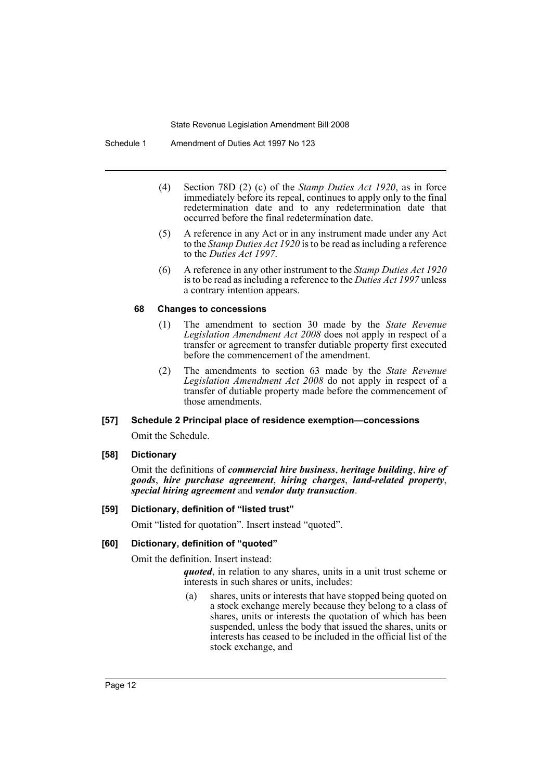Schedule 1 Amendment of Duties Act 1997 No 123

- (4) Section 78D (2) (c) of the *Stamp Duties Act 1920*, as in force immediately before its repeal, continues to apply only to the final redetermination date and to any redetermination date that occurred before the final redetermination date.
- (5) A reference in any Act or in any instrument made under any Act to the *Stamp Duties Act 1920* is to be read as including a reference to the *Duties Act 1997*.
- (6) A reference in any other instrument to the *Stamp Duties Act 1920* is to be read as including a reference to the *Duties Act 1997* unless a contrary intention appears.

#### **68 Changes to concessions**

- (1) The amendment to section 30 made by the *State Revenue Legislation Amendment Act 2008* does not apply in respect of a transfer or agreement to transfer dutiable property first executed before the commencement of the amendment.
- (2) The amendments to section 63 made by the *State Revenue Legislation Amendment Act 2008* do not apply in respect of a transfer of dutiable property made before the commencement of those amendments.

#### **[57] Schedule 2 Principal place of residence exemption—concessions**

Omit the Schedule.

#### **[58] Dictionary**

Omit the definitions of *commercial hire business*, *heritage building*, *hire of goods*, *hire purchase agreement*, *hiring charges*, *land-related property*, *special hiring agreement* and *vendor duty transaction*.

#### **[59] Dictionary, definition of "listed trust"**

Omit "listed for quotation". Insert instead "quoted".

#### **[60] Dictionary, definition of "quoted"**

Omit the definition. Insert instead:

*quoted*, in relation to any shares, units in a unit trust scheme or interests in such shares or units, includes:

(a) shares, units or interests that have stopped being quoted on a stock exchange merely because they belong to a class of shares, units or interests the quotation of which has been suspended, unless the body that issued the shares, units or interests has ceased to be included in the official list of the stock exchange, and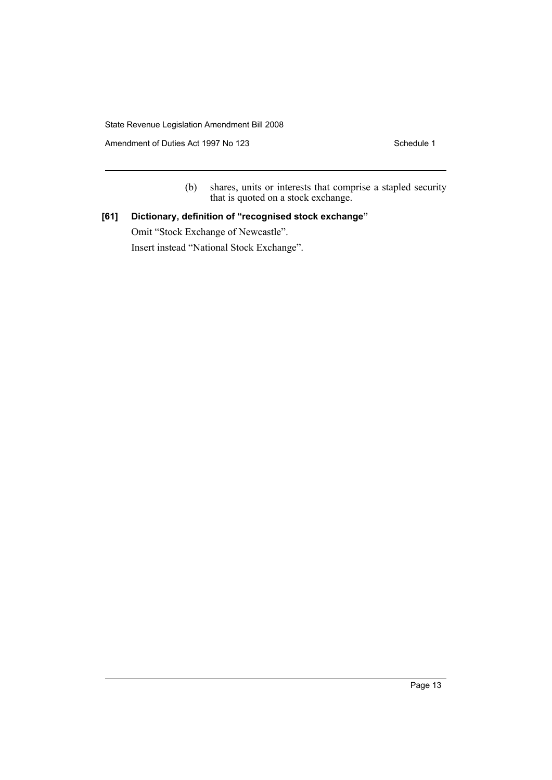Amendment of Duties Act 1997 No 123

(b) shares, units or interests that comprise a stapled security that is quoted on a stock exchange.

## **[61] Dictionary, definition of "recognised stock exchange"**

Omit "Stock Exchange of Newcastle". Insert instead "National Stock Exchange".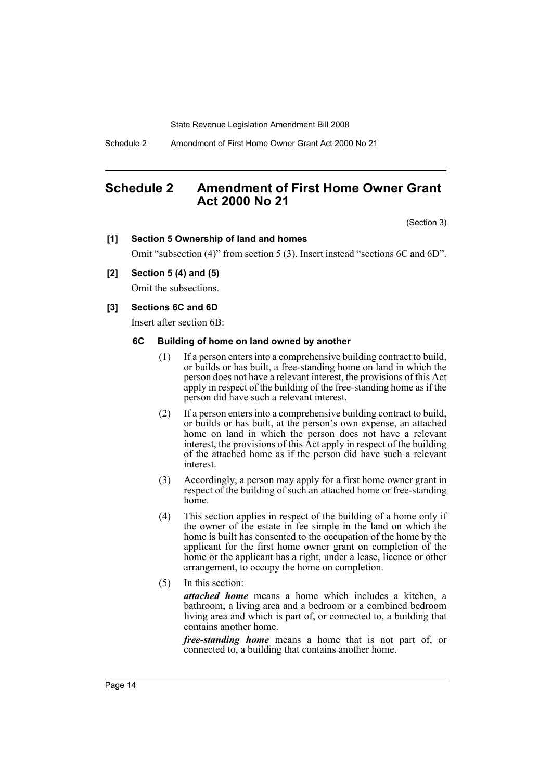Schedule 2 Amendment of First Home Owner Grant Act 2000 No 21

## <span id="page-14-0"></span>**Schedule 2 Amendment of First Home Owner Grant Act 2000 No 21**

(Section 3)

#### **[1] Section 5 Ownership of land and homes**

Omit "subsection (4)" from section 5 (3). Insert instead "sections 6C and 6D".

## **[2] Section 5 (4) and (5)**

Omit the subsections.

#### **[3] Sections 6C and 6D**

Insert after section 6B:

#### **6C Building of home on land owned by another**

- (1) If a person enters into a comprehensive building contract to build, or builds or has built, a free-standing home on land in which the person does not have a relevant interest, the provisions of this Act apply in respect of the building of the free-standing home as if the person did have such a relevant interest.
- (2) If a person enters into a comprehensive building contract to build, or builds or has built, at the person's own expense, an attached home on land in which the person does not have a relevant interest, the provisions of this Act apply in respect of the building of the attached home as if the person did have such a relevant interest.
- (3) Accordingly, a person may apply for a first home owner grant in respect of the building of such an attached home or free-standing home.
- (4) This section applies in respect of the building of a home only if the owner of the estate in fee simple in the land on which the home is built has consented to the occupation of the home by the applicant for the first home owner grant on completion of the home or the applicant has a right, under a lease, licence or other arrangement, to occupy the home on completion.
- (5) In this section:

*attached home* means a home which includes a kitchen, a bathroom, a living area and a bedroom or a combined bedroom living area and which is part of, or connected to, a building that contains another home.

*free-standing home* means a home that is not part of, or connected to, a building that contains another home.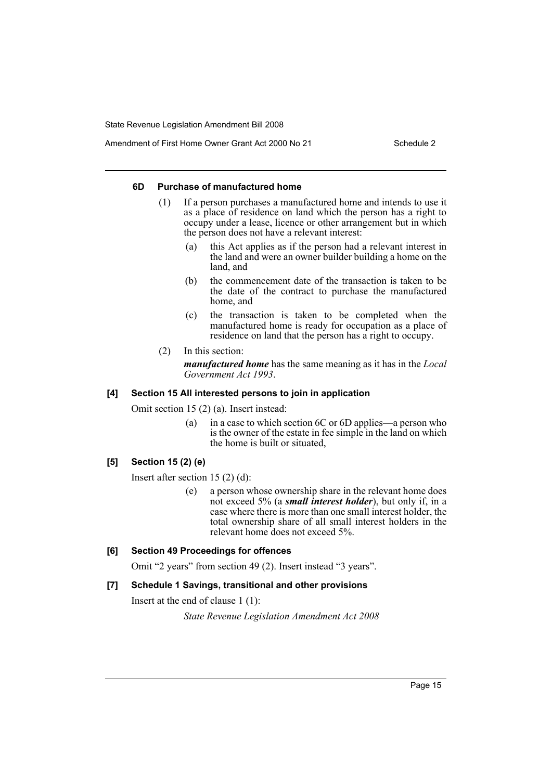Amendment of First Home Owner Grant Act 2000 No 21 Schedule 2

#### **6D Purchase of manufactured home**

- (1) If a person purchases a manufactured home and intends to use it as a place of residence on land which the person has a right to occupy under a lease, licence or other arrangement but in which the person does not have a relevant interest:
	- (a) this Act applies as if the person had a relevant interest in the land and were an owner builder building a home on the land, and
	- (b) the commencement date of the transaction is taken to be the date of the contract to purchase the manufactured home, and
	- (c) the transaction is taken to be completed when the manufactured home is ready for occupation as a place of residence on land that the person has a right to occupy.
- (2) In this section: *manufactured home* has the same meaning as it has in the *Local Government Act 1993*.

#### **[4] Section 15 All interested persons to join in application**

Omit section 15 (2) (a). Insert instead:

(a) in a case to which section 6C or 6D applies—a person who is the owner of the estate in fee simple in the land on which the home is built or situated,

## **[5] Section 15 (2) (e)**

Insert after section 15 (2) (d):

(e) a person whose ownership share in the relevant home does not exceed 5% (a *small interest holder*), but only if, in a case where there is more than one small interest holder, the total ownership share of all small interest holders in the relevant home does not exceed 5%.

## **[6] Section 49 Proceedings for offences**

Omit "2 years" from section 49 (2). Insert instead "3 years".

#### **[7] Schedule 1 Savings, transitional and other provisions**

Insert at the end of clause 1 (1):

*State Revenue Legislation Amendment Act 2008*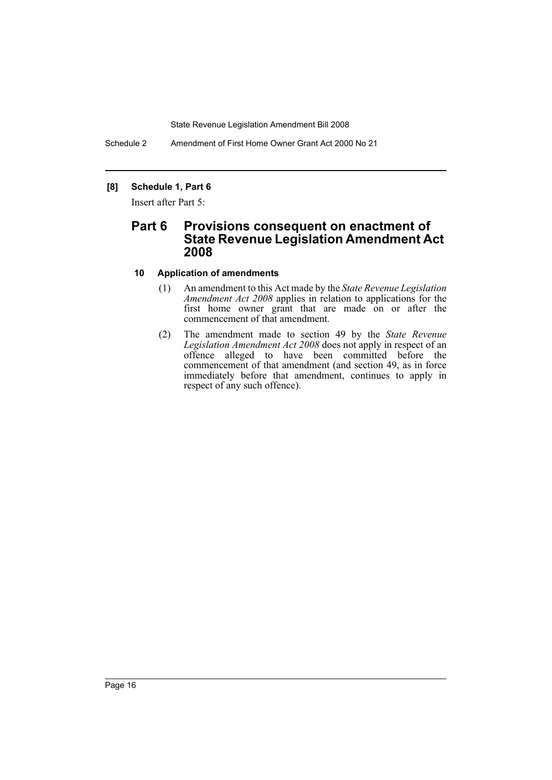Schedule 2 Amendment of First Home Owner Grant Act 2000 No 21

## **[8] Schedule 1, Part 6**

Insert after Part 5:

## **Part 6 Provisions consequent on enactment of State Revenue Legislation Amendment Act 2008**

#### **10 Application of amendments**

- (1) An amendment to this Act made by the *State Revenue Legislation Amendment Act 2008* applies in relation to applications for the first home owner grant that are made on or after the commencement of that amendment.
- (2) The amendment made to section 49 by the *State Revenue Legislation Amendment Act 2008* does not apply in respect of an offence alleged to have been committed before the commencement of that amendment (and section 49, as in force immediately before that amendment, continues to apply in respect of any such offence).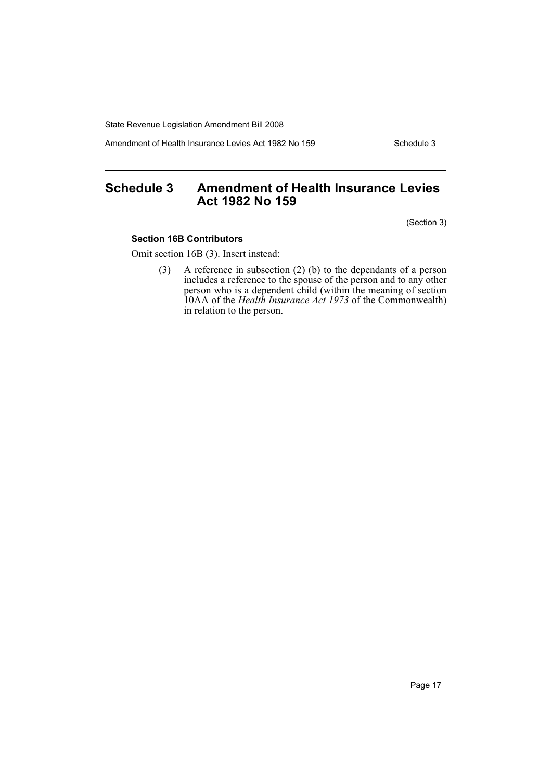Amendment of Health Insurance Levies Act 1982 No 159 Schedule 3

## <span id="page-17-0"></span>**Schedule 3 Amendment of Health Insurance Levies Act 1982 No 159**

(Section 3)

#### **Section 16B Contributors**

Omit section 16B (3). Insert instead:

(3) A reference in subsection (2) (b) to the dependants of a person includes a reference to the spouse of the person and to any other person who is a dependent child (within the meaning of section 10AA of the *Health Insurance Act 1973* of the Commonwealth) in relation to the person.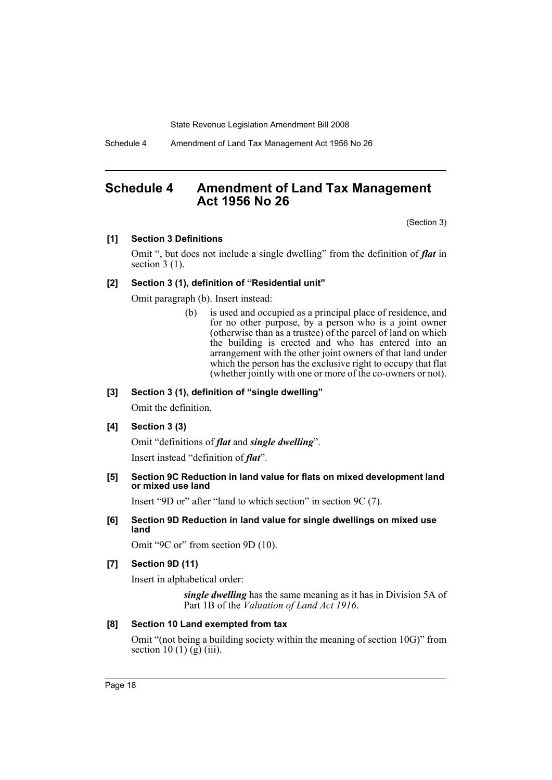Schedule 4 Amendment of Land Tax Management Act 1956 No 26

## <span id="page-18-0"></span>**Schedule 4 Amendment of Land Tax Management Act 1956 No 26**

(Section 3)

#### **[1] Section 3 Definitions**

Omit ", but does not include a single dwelling" from the definition of *flat* in section  $3(1)$ .

#### **[2] Section 3 (1), definition of "Residential unit"**

Omit paragraph (b). Insert instead:

(b) is used and occupied as a principal place of residence, and for no other purpose, by a person who is a joint owner (otherwise than as a trustee) of the parcel of land on which the building is erected and who has entered into an arrangement with the other joint owners of that land under which the person has the exclusive right to occupy that flat (whether jointly with one or more of the co-owners or not).

### **[3] Section 3 (1), definition of "single dwelling"**

Omit the definition.

## **[4] Section 3 (3)**

Omit "definitions of *flat* and *single dwelling*".

Insert instead "definition of *flat*".

#### **[5] Section 9C Reduction in land value for flats on mixed development land or mixed use land**

Insert "9D or" after "land to which section" in section 9C (7).

**[6] Section 9D Reduction in land value for single dwellings on mixed use land**

Omit "9C or" from section 9D (10).

#### **[7] Section 9D (11)**

Insert in alphabetical order:

*single dwelling* has the same meaning as it has in Division 5A of Part 1B of the *Valuation of Land Act 1916*.

### **[8] Section 10 Land exempted from tax**

Omit "(not being a building society within the meaning of section 10G)" from section 10 (1) (g) (iii).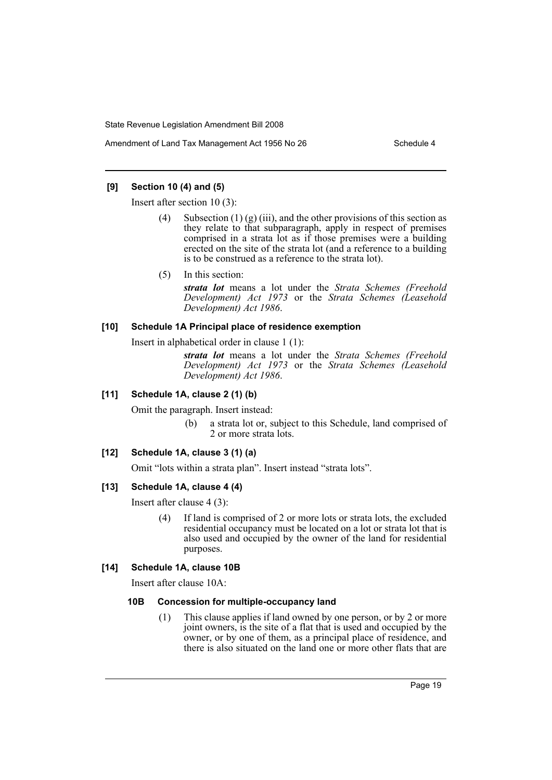### **[9] Section 10 (4) and (5)**

Insert after section 10 (3):

- (4) Subsection (1) (g) (iii), and the other provisions of this section as they relate to that subparagraph, apply in respect of premises comprised in a strata lot as if those premises were a building erected on the site of the strata lot (and a reference to a building is to be construed as a reference to the strata lot).
- (5) In this section:

*strata lot* means a lot under the *Strata Schemes (Freehold Development) Act 1973* or the *Strata Schemes (Leasehold Development) Act 1986*.

#### **[10] Schedule 1A Principal place of residence exemption**

Insert in alphabetical order in clause 1 (1):

*strata lot* means a lot under the *Strata Schemes (Freehold Development) Act 1973* or the *Strata Schemes (Leasehold Development) Act 1986*.

#### **[11] Schedule 1A, clause 2 (1) (b)**

Omit the paragraph. Insert instead:

(b) a strata lot or, subject to this Schedule, land comprised of 2 or more strata lots.

## **[12] Schedule 1A, clause 3 (1) (a)**

Omit "lots within a strata plan". Insert instead "strata lots".

#### **[13] Schedule 1A, clause 4 (4)**

Insert after clause 4 (3):

(4) If land is comprised of 2 or more lots or strata lots, the excluded residential occupancy must be located on a lot or strata lot that is also used and occupied by the owner of the land for residential purposes.

### **[14] Schedule 1A, clause 10B**

Insert after clause 10A:

#### **10B Concession for multiple-occupancy land**

(1) This clause applies if land owned by one person, or by 2 or more joint owners, is the site of a flat that is used and occupied by the owner, or by one of them, as a principal place of residence, and there is also situated on the land one or more other flats that are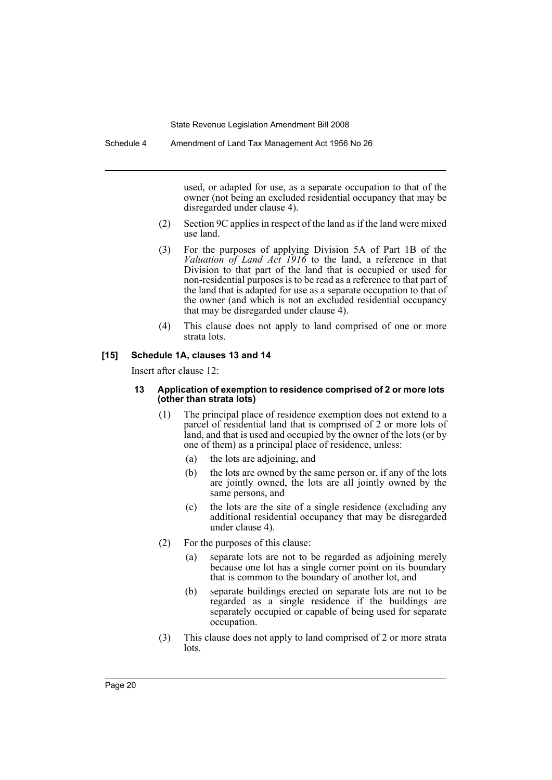used, or adapted for use, as a separate occupation to that of the owner (not being an excluded residential occupancy that may be disregarded under clause 4).

- (2) Section 9C applies in respect of the land as if the land were mixed use land.
- (3) For the purposes of applying Division 5A of Part 1B of the *Valuation of Land Act 1916* to the land, a reference in that Division to that part of the land that is occupied or used for non-residential purposes is to be read as a reference to that part of the land that is adapted for use as a separate occupation to that of the owner (and which is not an excluded residential occupancy that may be disregarded under clause 4).
- (4) This clause does not apply to land comprised of one or more strata lots.

#### **[15] Schedule 1A, clauses 13 and 14**

Insert after clause 12:

#### **13 Application of exemption to residence comprised of 2 or more lots (other than strata lots)**

- (1) The principal place of residence exemption does not extend to a parcel of residential land that is comprised of 2 or more lots of land, and that is used and occupied by the owner of the lots (or by one of them) as a principal place of residence, unless:
	- (a) the lots are adjoining, and
	- (b) the lots are owned by the same person or, if any of the lots are jointly owned, the lots are all jointly owned by the same persons, and
	- (c) the lots are the site of a single residence (excluding any additional residential occupancy that may be disregarded under clause 4).
- (2) For the purposes of this clause:
	- (a) separate lots are not to be regarded as adjoining merely because one lot has a single corner point on its boundary that is common to the boundary of another lot, and
	- (b) separate buildings erected on separate lots are not to be regarded as a single residence if the buildings are separately occupied or capable of being used for separate occupation.
- (3) This clause does not apply to land comprised of 2 or more strata lots.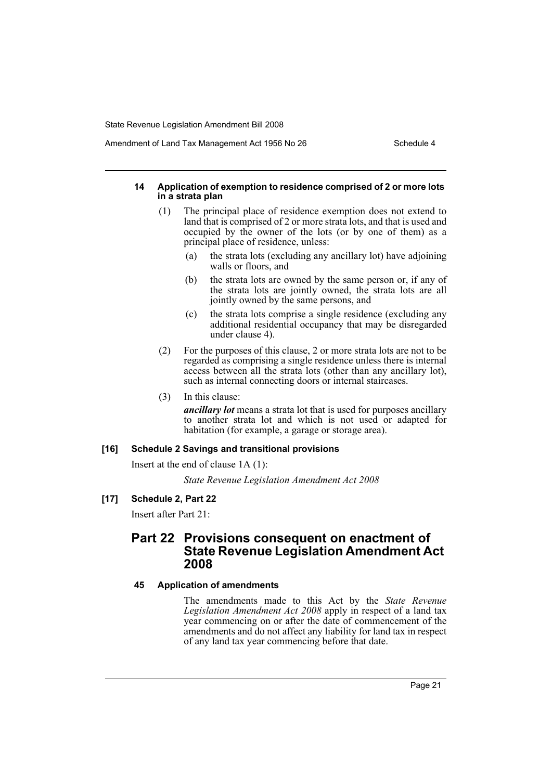Amendment of Land Tax Management Act 1956 No 26 Schedule 4

#### **14 Application of exemption to residence comprised of 2 or more lots in a strata plan**

- (1) The principal place of residence exemption does not extend to land that is comprised of 2 or more strata lots, and that is used and occupied by the owner of the lots (or by one of them) as a principal place of residence, unless:
	- (a) the strata lots (excluding any ancillary lot) have adjoining walls or floors, and
	- (b) the strata lots are owned by the same person or, if any of the strata lots are jointly owned, the strata lots are all jointly owned by the same persons, and
	- (c) the strata lots comprise a single residence (excluding any additional residential occupancy that may be disregarded under clause 4).
- (2) For the purposes of this clause, 2 or more strata lots are not to be regarded as comprising a single residence unless there is internal access between all the strata lots (other than any ancillary lot), such as internal connecting doors or internal staircases.
- (3) In this clause:

*ancillary lot* means a strata lot that is used for purposes ancillary to another strata lot and which is not used or adapted for habitation (for example, a garage or storage area).

#### **[16] Schedule 2 Savings and transitional provisions**

Insert at the end of clause 1A (1):

*State Revenue Legislation Amendment Act 2008*

## **[17] Schedule 2, Part 22**

Insert after Part 21:

## **Part 22 Provisions consequent on enactment of State Revenue Legislation Amendment Act 2008**

#### **45 Application of amendments**

The amendments made to this Act by the *State Revenue Legislation Amendment Act 2008* apply in respect of a land tax year commencing on or after the date of commencement of the amendments and do not affect any liability for land tax in respect of any land tax year commencing before that date.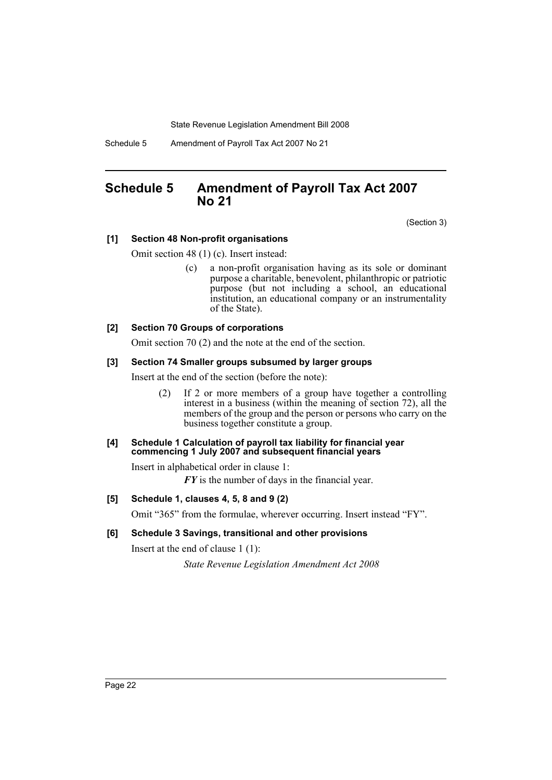Schedule 5 Amendment of Payroll Tax Act 2007 No 21

## <span id="page-22-0"></span>**Schedule 5 Amendment of Payroll Tax Act 2007 No 21**

(Section 3)

## **[1] Section 48 Non-profit organisations**

Omit section 48 (1) (c). Insert instead:

(c) a non-profit organisation having as its sole or dominant purpose a charitable, benevolent, philanthropic or patriotic purpose (but not including a school, an educational institution, an educational company or an instrumentality of the State).

## **[2] Section 70 Groups of corporations**

Omit section 70 (2) and the note at the end of the section.

## **[3] Section 74 Smaller groups subsumed by larger groups**

Insert at the end of the section (before the note):

(2) If 2 or more members of a group have together a controlling interest in a business (within the meaning of section 72), all the members of the group and the person or persons who carry on the business together constitute a group.

#### **[4] Schedule 1 Calculation of payroll tax liability for financial year commencing 1 July 2007 and subsequent financial years**

Insert in alphabetical order in clause 1:

*FY* is the number of days in the financial year.

## **[5] Schedule 1, clauses 4, 5, 8 and 9 (2)**

Omit "365" from the formulae, wherever occurring. Insert instead "FY".

## **[6] Schedule 3 Savings, transitional and other provisions**

Insert at the end of clause 1 (1):

*State Revenue Legislation Amendment Act 2008*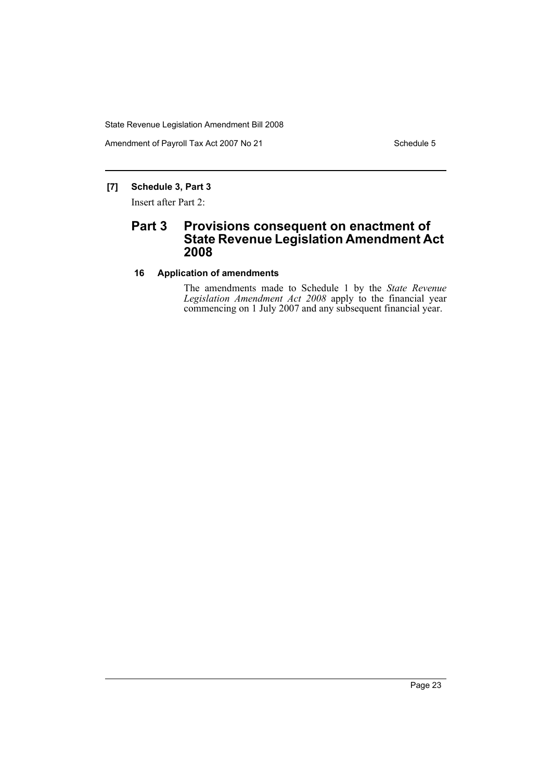Amendment of Payroll Tax Act 2007 No 21 Schedule 5

## **[7] Schedule 3, Part 3**

Insert after Part 2:

## **Part 3 Provisions consequent on enactment of State Revenue Legislation Amendment Act 2008**

## **16 Application of amendments**

The amendments made to Schedule 1 by the *State Revenue Legislation Amendment Act 2008* apply to the financial year commencing on 1 July 2007 and any subsequent financial year.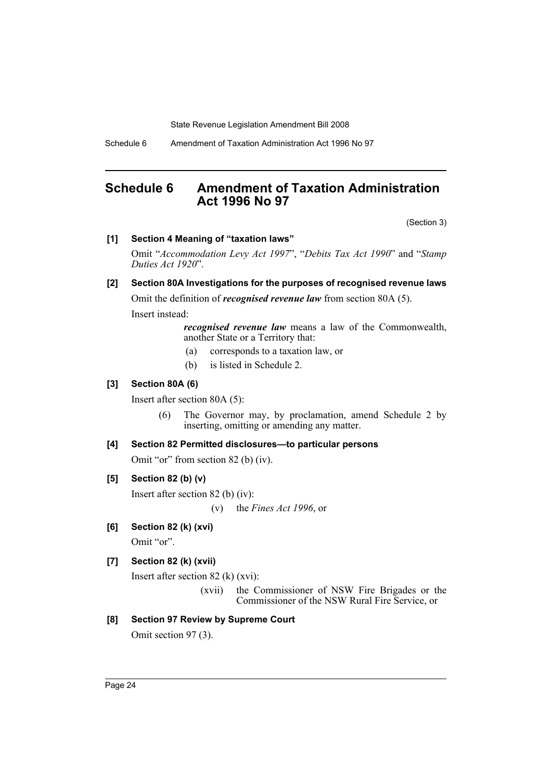Schedule 6 Amendment of Taxation Administration Act 1996 No 97

## <span id="page-24-0"></span>**Schedule 6 Amendment of Taxation Administration Act 1996 No 97**

(Section 3)

### **[1] Section 4 Meaning of "taxation laws"**

Omit "*Accommodation Levy Act 1997*", "*Debits Tax Act 1990*" and "*Stamp Duties Act 1920*".

## **[2] Section 80A Investigations for the purposes of recognised revenue laws**

Omit the definition of *recognised revenue law* from section 80A (5).

Insert instead:

*recognised revenue law* means a law of the Commonwealth, another State or a Territory that:

- (a) corresponds to a taxation law, or
- (b) is listed in Schedule 2.

#### **[3] Section 80A (6)**

Insert after section 80A (5):

(6) The Governor may, by proclamation, amend Schedule 2 by inserting, omitting or amending any matter.

### **[4] Section 82 Permitted disclosures—to particular persons**

Omit "or" from section 82 (b) (iv).

## **[5] Section 82 (b) (v)**

Insert after section 82 (b) (iv):

(v) the *Fines Act 1996*, or

## **[6] Section 82 (k) (xvi)**

Omit "or".

## **[7] Section 82 (k) (xvii)**

Insert after section 82 (k) (xvi):

(xvii) the Commissioner of NSW Fire Brigades or the Commissioner of the NSW Rural Fire Service, or

## **[8] Section 97 Review by Supreme Court**

Omit section 97 (3).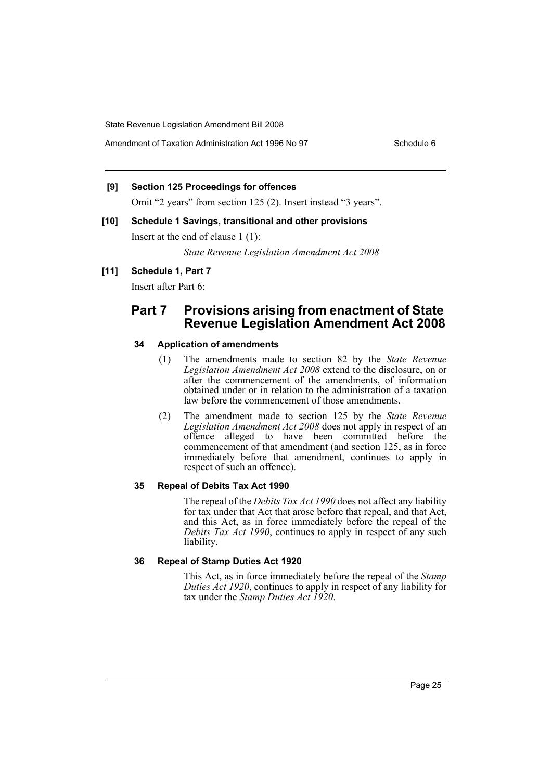Amendment of Taxation Administration Act 1996 No 97 Schedule 6

## **[9] Section 125 Proceedings for offences**

Omit "2 years" from section 125 (2). Insert instead "3 years".

**[10] Schedule 1 Savings, transitional and other provisions** Insert at the end of clause 1 (1):

*State Revenue Legislation Amendment Act 2008*

#### **[11] Schedule 1, Part 7**

Insert after Part 6:

## **Part 7 Provisions arising from enactment of State Revenue Legislation Amendment Act 2008**

#### **34 Application of amendments**

- (1) The amendments made to section 82 by the *State Revenue Legislation Amendment Act 2008* extend to the disclosure, on or after the commencement of the amendments, of information obtained under or in relation to the administration of a taxation law before the commencement of those amendments.
- (2) The amendment made to section 125 by the *State Revenue Legislation Amendment Act 2008* does not apply in respect of an offence alleged to have been committed before the commencement of that amendment (and section 125, as in force immediately before that amendment, continues to apply in respect of such an offence).

#### **35 Repeal of Debits Tax Act 1990**

The repeal of the *Debits Tax Act 1990* does not affect any liability for tax under that Act that arose before that repeal, and that Act, and this Act, as in force immediately before the repeal of the *Debits Tax Act 1990*, continues to apply in respect of any such liability.

#### **36 Repeal of Stamp Duties Act 1920**

This Act, as in force immediately before the repeal of the *Stamp Duties Act 1920*, continues to apply in respect of any liability for tax under the *Stamp Duties Act 1920*.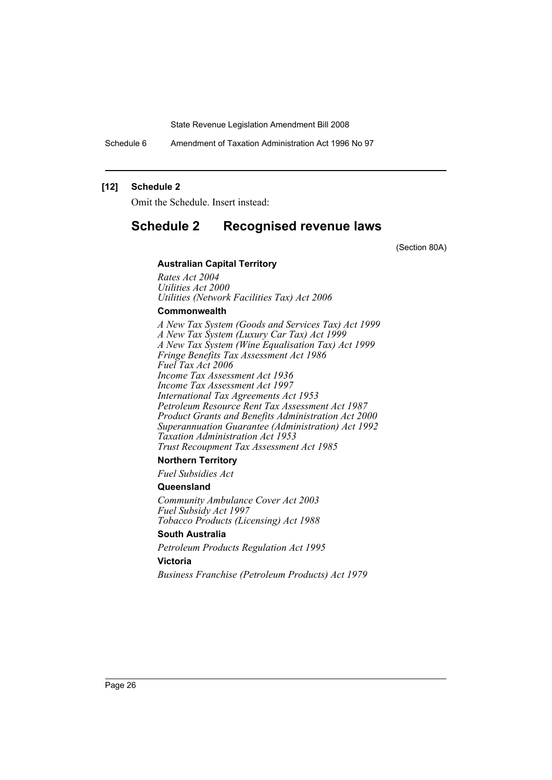Schedule 6 Amendment of Taxation Administration Act 1996 No 97

#### **[12] Schedule 2**

Omit the Schedule. Insert instead:

## **Schedule 2 Recognised revenue laws**

(Section 80A)

#### **Australian Capital Territory**

*Rates Act 2004 Utilities Act 2000 Utilities (Network Facilities Tax) Act 2006*

### **Commonwealth**

*A New Tax System (Goods and Services Tax) Act 1999 A New Tax System (Luxury Car Tax) Act 1999 A New Tax System (Wine Equalisation Tax) Act 1999 Fringe Benefits Tax Assessment Act 1986 Fuel Tax Act 2006 Income Tax Assessment Act 1936 Income Tax Assessment Act 1997 International Tax Agreements Act 1953 Petroleum Resource Rent Tax Assessment Act 1987 Product Grants and Benefits Administration Act 2000 Superannuation Guarantee (Administration) Act 1992 Taxation Administration Act 1953 Trust Recoupment Tax Assessment Act 1985*

#### **Northern Territory**

*Fuel Subsidies Act*

#### **Queensland**

*Community Ambulance Cover Act 2003 Fuel Subsidy Act 1997 Tobacco Products (Licensing) Act 1988*

## **South Australia**

*Petroleum Products Regulation Act 1995*

## **Victoria**

*Business Franchise (Petroleum Products) Act 1979*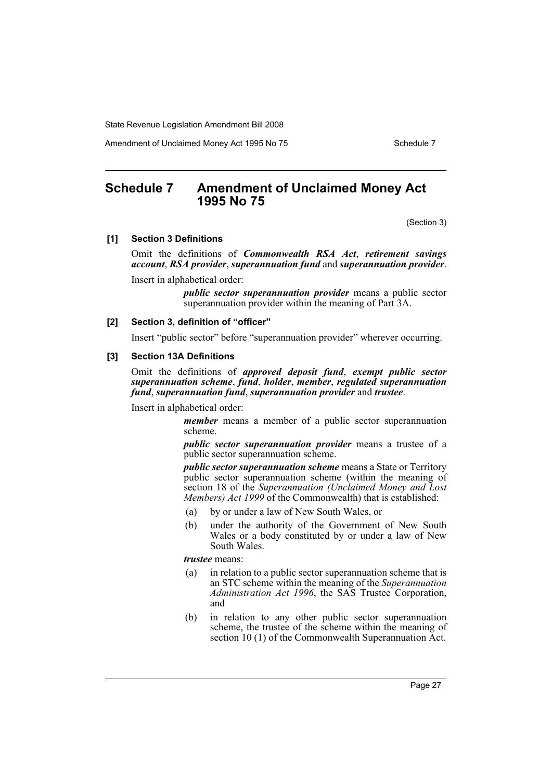Amendment of Unclaimed Money Act 1995 No 75 Schedule 7

## <span id="page-27-0"></span>**Schedule 7 Amendment of Unclaimed Money Act 1995 No 75**

(Section 3)

#### **[1] Section 3 Definitions**

Omit the definitions of *Commonwealth RSA Act*, *retirement savings account*, *RSA provider*, *superannuation fund* and *superannuation provider*.

Insert in alphabetical order:

*public sector superannuation provider* means a public sector superannuation provider within the meaning of Part 3A.

#### **[2] Section 3, definition of "officer"**

Insert "public sector" before "superannuation provider" wherever occurring.

#### **[3] Section 13A Definitions**

Omit the definitions of *approved deposit fund*, *exempt public sector superannuation scheme*, *fund*, *holder*, *member*, *regulated superannuation fund*, *superannuation fund*, *superannuation provider* and *trustee*.

Insert in alphabetical order:

*member* means a member of a public sector superannuation scheme.

*public sector superannuation provider* means a trustee of a public sector superannuation scheme.

*public sector superannuation scheme* means a State or Territory public sector superannuation scheme (within the meaning of section 18 of the *Superannuation (Unclaimed Money and Lost Members) Act 1999* of the Commonwealth) that is established:

- (a) by or under a law of New South Wales, or
- (b) under the authority of the Government of New South Wales or a body constituted by or under a law of New South Wales.

*trustee* means:

- (a) in relation to a public sector superannuation scheme that is an STC scheme within the meaning of the *Superannuation Administration Act 1996*, the SAS Trustee Corporation, and
- (b) in relation to any other public sector superannuation scheme, the trustee of the scheme within the meaning of section 10 (1) of the Commonwealth Superannuation Act.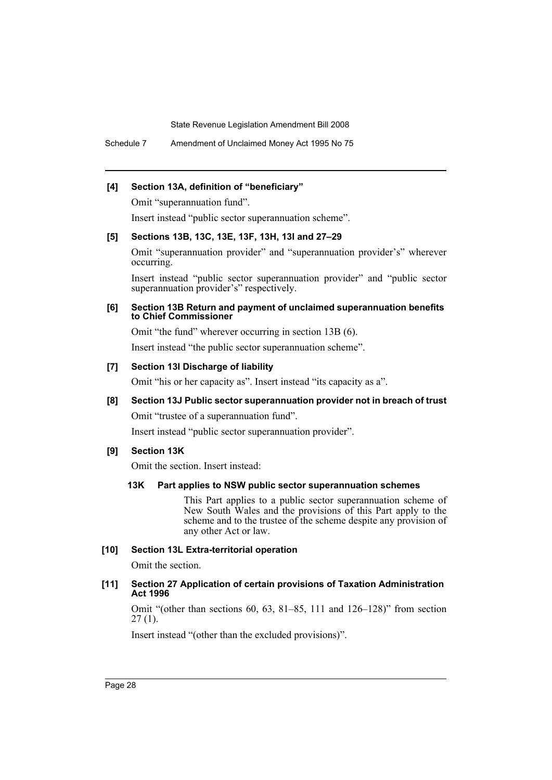Schedule 7 Amendment of Unclaimed Money Act 1995 No 75

#### **[4] Section 13A, definition of "beneficiary"**

Omit "superannuation fund".

Insert instead "public sector superannuation scheme".

#### **[5] Sections 13B, 13C, 13E, 13F, 13H, 13I and 27–29**

Omit "superannuation provider" and "superannuation provider's" wherever occurring.

Insert instead "public sector superannuation provider" and "public sector superannuation provider's" respectively.

#### **[6] Section 13B Return and payment of unclaimed superannuation benefits to Chief Commissioner**

Omit "the fund" wherever occurring in section 13B (6).

Insert instead "the public sector superannuation scheme".

#### **[7] Section 13I Discharge of liability**

Omit "his or her capacity as". Insert instead "its capacity as a".

# **[8] Section 13J Public sector superannuation provider not in breach of trust**

Omit "trustee of a superannuation fund".

Insert instead "public sector superannuation provider".

## **[9] Section 13K**

Omit the section. Insert instead:

## **13K Part applies to NSW public sector superannuation schemes**

This Part applies to a public sector superannuation scheme of New South Wales and the provisions of this Part apply to the scheme and to the trustee of the scheme despite any provision of any other Act or law.

#### **[10] Section 13L Extra-territorial operation**

Omit the section.

#### **[11] Section 27 Application of certain provisions of Taxation Administration Act 1996**

Omit "(other than sections 60, 63, 81–85, 111 and 126–128)" from section  $27(1)$ .

Insert instead "(other than the excluded provisions)".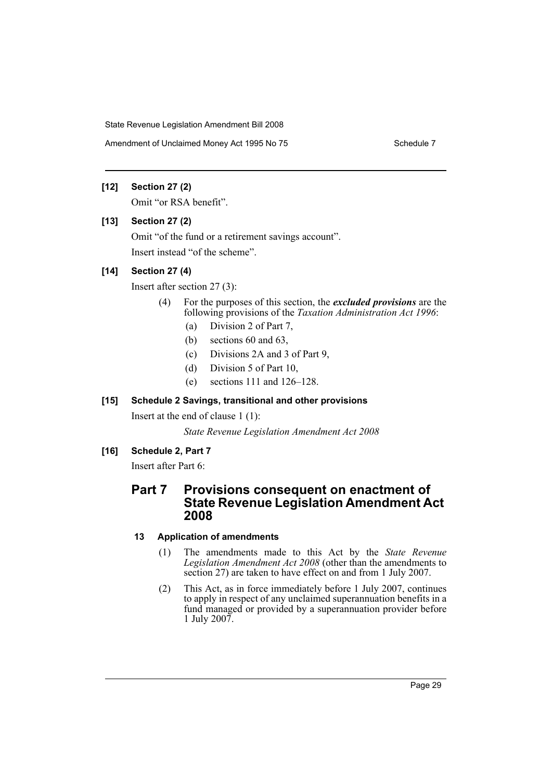Amendment of Unclaimed Money Act 1995 No 75 Schedule 7

## **[12] Section 27 (2)**

Omit "or RSA benefit".

## **[13] Section 27 (2)**

Omit "of the fund or a retirement savings account". Insert instead "of the scheme".

## **[14] Section 27 (4)**

Insert after section 27 (3):

- (4) For the purposes of this section, the *excluded provisions* are the following provisions of the *Taxation Administration Act 1996*:
	- (a) Division 2 of Part 7,
	- (b) sections 60 and 63,
	- (c) Divisions 2A and 3 of Part 9,
	- (d) Division 5 of Part 10,
	- (e) sections 111 and 126–128.

## **[15] Schedule 2 Savings, transitional and other provisions**

Insert at the end of clause 1 (1):

*State Revenue Legislation Amendment Act 2008*

## **[16] Schedule 2, Part 7**

Insert after Part 6:

## **Part 7 Provisions consequent on enactment of State Revenue Legislation Amendment Act 2008**

## **13 Application of amendments**

- (1) The amendments made to this Act by the *State Revenue Legislation Amendment Act 2008* (other than the amendments to section 27) are taken to have effect on and from 1 July 2007.
- (2) This Act, as in force immediately before 1 July 2007, continues to apply in respect of any unclaimed superannuation benefits in a fund managed or provided by a superannuation provider before 1 July 2007.